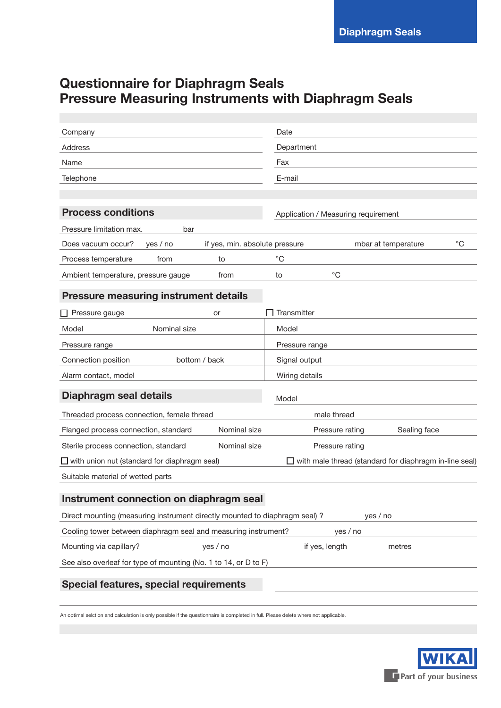# **Questionnaire for Diaphragm Seals Pressure Measuring Instruments with Diaphragm Seals**

| Company                                                                                                         | Date                                                                 |  |  |
|-----------------------------------------------------------------------------------------------------------------|----------------------------------------------------------------------|--|--|
| <b>Address</b>                                                                                                  | Department                                                           |  |  |
| Name                                                                                                            | Fax                                                                  |  |  |
| Telephone                                                                                                       | E-mail                                                               |  |  |
|                                                                                                                 |                                                                      |  |  |
| <b>Process conditions</b>                                                                                       | Application / Measuring requirement                                  |  |  |
| Pressure limitation max.<br>bar                                                                                 |                                                                      |  |  |
| Does vacuum occur?<br>yes / no                                                                                  | $^{\circ}C$<br>if yes, min. absolute pressure<br>mbar at temperature |  |  |
| Process temperature<br>from<br>to                                                                               | $^{\circ}C$                                                          |  |  |
| Ambient temperature, pressure gauge<br>from                                                                     | $^{\circ}C$<br>to                                                    |  |  |
| <b>Pressure measuring instrument details</b>                                                                    |                                                                      |  |  |
| $\Box$ Pressure gauge<br>or                                                                                     | Transmitter                                                          |  |  |
| Nominal size<br>Model                                                                                           | Model                                                                |  |  |
| Pressure range                                                                                                  | Pressure range                                                       |  |  |
| Connection position<br>bottom / back                                                                            | Signal output                                                        |  |  |
| Alarm contact, model                                                                                            | Wiring details                                                       |  |  |
|                                                                                                                 |                                                                      |  |  |
| Diaphragm seal details                                                                                          | Model                                                                |  |  |
| Threaded process connection, female thread                                                                      | male thread                                                          |  |  |
| Flanged process connection, standard                                                                            | Nominal size<br>Sealing face<br>Pressure rating                      |  |  |
| Sterile process connection, standard                                                                            | Nominal size<br>Pressure rating                                      |  |  |
| $\Box$ with union nut (standard for diaphragm seal)<br>□ with male thread (standard for diaphragm in-line seal) |                                                                      |  |  |
| Suitable material of wetted parts                                                                               |                                                                      |  |  |
| Instrument connection on diaphragm seal                                                                         |                                                                      |  |  |
| Direct mounting (measuring instrument directly mounted to diaphragm seal) ?                                     | yes / no                                                             |  |  |
| Cooling tower between diaphragm seal and measuring instrument?                                                  | yes / no                                                             |  |  |
| Mounting via capillary?<br>yes / no                                                                             | if yes, length<br>metres                                             |  |  |
| See also overleaf for type of mounting (No. 1 to 14, or D to F)                                                 |                                                                      |  |  |
|                                                                                                                 |                                                                      |  |  |
| Special features, special requirements                                                                          |                                                                      |  |  |
|                                                                                                                 |                                                                      |  |  |

An optimal selction and calculation is only possible if the questionnaire is completed in full. Please delete where not applicable.